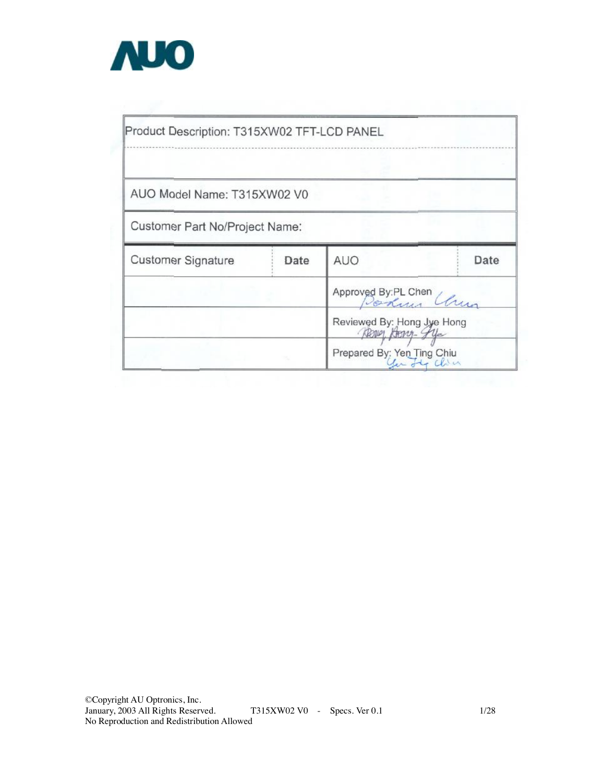

| AUO Model Name: T315XW02 V0    |      |                                                |      |
|--------------------------------|------|------------------------------------------------|------|
| Customer Part No/Project Name: |      |                                                |      |
| <b>Customer Signature</b>      | Date | <b>AUO</b>                                     | Date |
|                                |      | Approved By PL Chen<br>Portugal                |      |
|                                |      | Reviewed By: Hong Jye Hong<br>Region Hong- gye |      |
|                                |      | Prepared By: Yen Ting Chiu                     |      |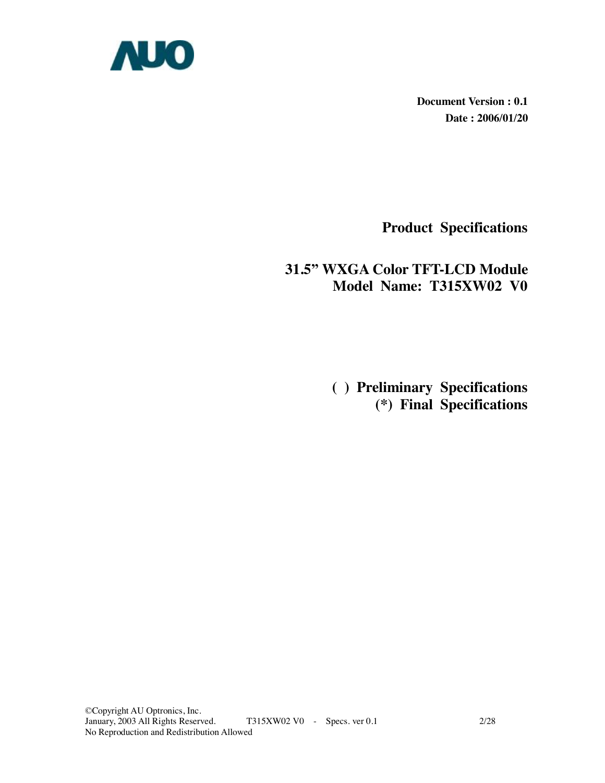

**Document Version : 0.1 Date : 2006/01/20** 

**Product Specifications** 

### **31.5" WXGA Color TFT-LCD Module Model Name: T315XW02 V0**

 **( ) Preliminary Specifications (\*) Final Specifications**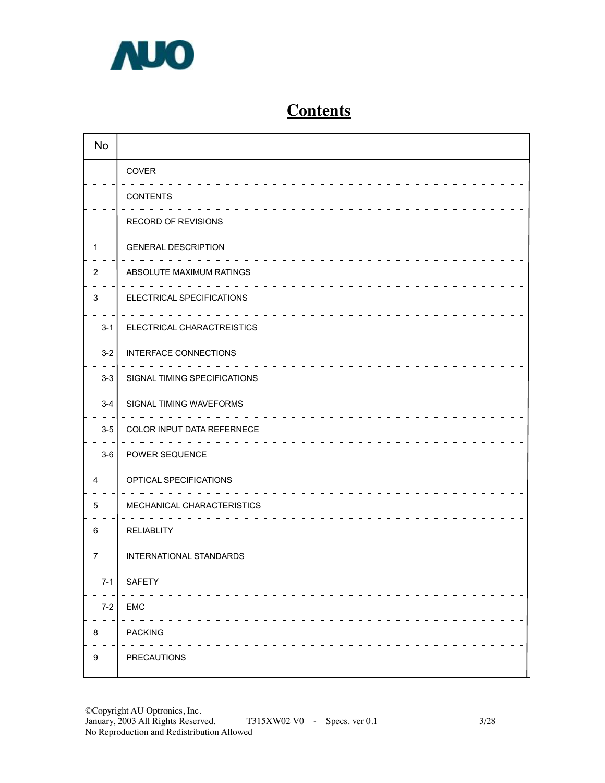

# **Contents**

| <b>No</b>      |                              |
|----------------|------------------------------|
|                | <b>COVER</b>                 |
|                | <b>CONTENTS</b>              |
|                | RECORD OF REVISIONS          |
| 1              | <b>GENERAL DESCRIPTION</b>   |
| $\overline{2}$ | ABSOLUTE MAXIMUM RATINGS     |
| 3              | ELECTRICAL SPECIFICATIONS    |
| $3 - 1$        | ELECTRICAL CHARACTREISTICS   |
| $3-2$          | INTERFACE CONNECTIONS        |
| $3 - 3$        | SIGNAL TIMING SPECIFICATIONS |
| $3 - 4$        | SIGNAL TIMING WAVEFORMS      |
| $3-5$          | COLOR INPUT DATA REFERNECE   |
| $3-6$          | POWER SEQUENCE               |
| 4              | OPTICAL SPECIFICATIONS       |
| 5              | MECHANICAL CHARACTERISTICS   |
| 6              | <b>RELIABLITY</b>            |
| 7              | INTERNATIONAL STANDARDS      |
| 7-1            | SAFETY                       |
| $7-2$          | EMC                          |
| $\bf 8$        | <b>PACKING</b>               |
| 9              | PRECAUTIONS                  |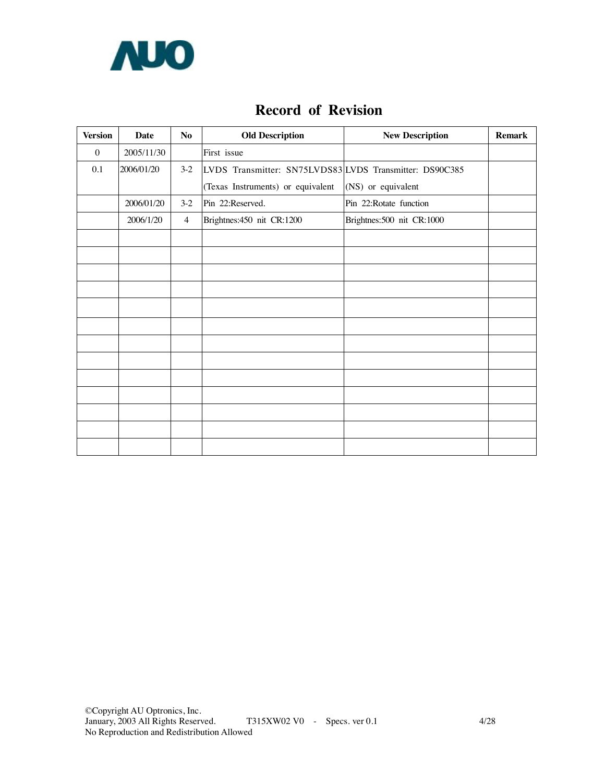

### **Record of Revision**

| <b>Version</b>   | Date       | N <sub>o</sub> | <b>Old Description</b>                                  | <b>New Description</b>      | <b>Remark</b> |
|------------------|------------|----------------|---------------------------------------------------------|-----------------------------|---------------|
| $\boldsymbol{0}$ | 2005/11/30 |                | First issue                                             |                             |               |
| 0.1              | 2006/01/20 | $3-2$          | LVDS Transmitter: SN75LVDS83 LVDS Transmitter: DS90C385 |                             |               |
|                  |            |                | (Texas Instruments) or equivalent                       | (NS) or equivalent          |               |
|                  | 2006/01/20 | $3-2$          | Pin 22:Reserved.                                        | Pin 22: Rotate function     |               |
|                  | 2006/1/20  | $\overline{4}$ | Brightnes: 450 nit CR: 1200                             | Brightnes: 500 nit CR: 1000 |               |
|                  |            |                |                                                         |                             |               |
|                  |            |                |                                                         |                             |               |
|                  |            |                |                                                         |                             |               |
|                  |            |                |                                                         |                             |               |
|                  |            |                |                                                         |                             |               |
|                  |            |                |                                                         |                             |               |
|                  |            |                |                                                         |                             |               |
|                  |            |                |                                                         |                             |               |
|                  |            |                |                                                         |                             |               |
|                  |            |                |                                                         |                             |               |
|                  |            |                |                                                         |                             |               |
|                  |            |                |                                                         |                             |               |
|                  |            |                |                                                         |                             |               |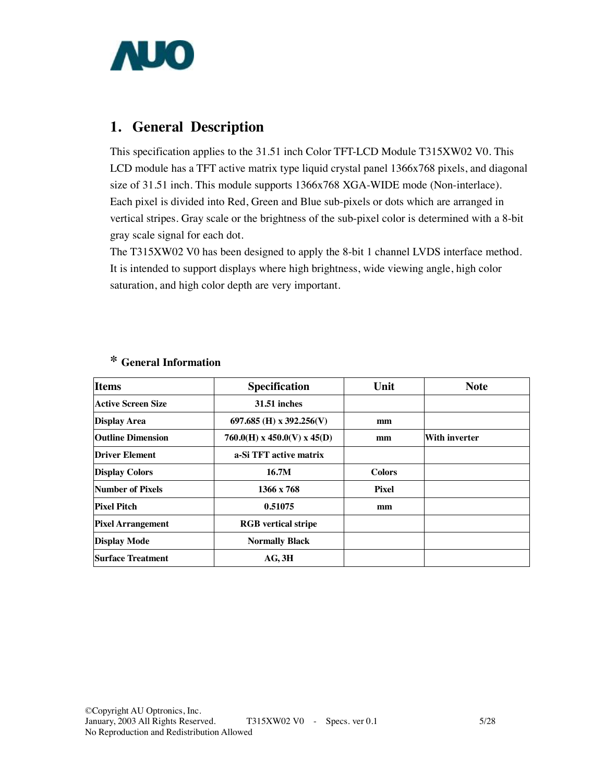

### **1. General Description**

This specification applies to the 31.51 inch Color TFT-LCD Module T315XW02 V0. This LCD module has a TFT active matrix type liquid crystal panel 1366x768 pixels, and diagonal size of 31.51 inch. This module supports 1366x768 XGA-WIDE mode (Non-interlace). Each pixel is divided into Red, Green and Blue sub-pixels or dots which are arranged in vertical stripes. Gray scale or the brightness of the sub-pixel color is determined with a 8-bit gray scale signal for each dot.

The T315XW02 V0 has been designed to apply the 8-bit 1 channel LVDS interface method. It is intended to support displays where high brightness, wide viewing angle, high color saturation, and high color depth are very important.

| <b>Items</b>             | <b>Specification</b>          | Unit          | <b>Note</b>          |
|--------------------------|-------------------------------|---------------|----------------------|
| Active Screen Size       | <b>31.51 inches</b>           |               |                      |
| <b>Display Area</b>      | 697.685 (H) x 392.256(V)      | mm            |                      |
| <b>Outline Dimension</b> | $760.0(H)$ x 450.0(V) x 45(D) | mm            | <b>With inverter</b> |
| <b>Driver Element</b>    | a-Si TFT active matrix        |               |                      |
| <b>Display Colors</b>    | 16.7M                         | <b>Colors</b> |                      |
| Number of Pixels         | 1366 x 768                    | <b>Pixel</b>  |                      |
| <b>Pixel Pitch</b>       | 0.51075                       | mm            |                      |
| <b>Pixel Arrangement</b> | <b>RGB</b> vertical stripe    |               |                      |
| <b>Display Mode</b>      | <b>Normally Black</b>         |               |                      |
| Surface Treatment        | AG, 3H                        |               |                      |

### **\* General Information**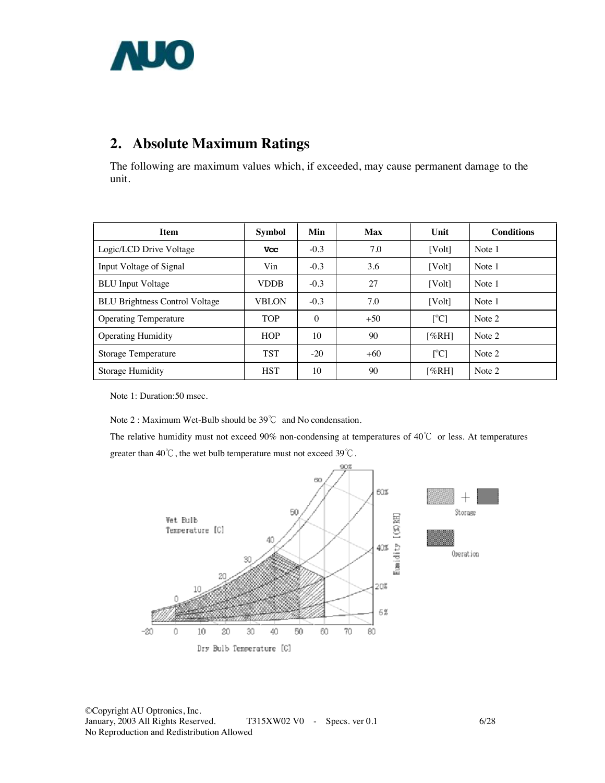

# **2. Absolute Maximum Ratings**

The following are maximum values which, if exceeded, may cause permanent damage to the unit.

| <b>Item</b>                           | <b>Symbol</b> | Min      | <b>Max</b> | Unit                      | <b>Conditions</b> |
|---------------------------------------|---------------|----------|------------|---------------------------|-------------------|
| Logic/LCD Drive Voltage               | <b>Vcc</b>    | $-0.3$   | 7.0        | [Vol <sub>t</sub> ]       | Note 1            |
| Input Voltage of Signal               | Vin           | $-0.3$   | 3.6        | [Vol <sub>t</sub> ]       | Note 1            |
| <b>BLU</b> Input Voltage              | <b>VDDB</b>   | $-0.3$   | 27         | [Vol <sub>t</sub> ]       | Note 1            |
| <b>BLU Brightness Control Voltage</b> | <b>VBLON</b>  | $-0.3$   | 7.0        | [Volt]                    | Note 1            |
| <b>Operating Temperature</b>          | <b>TOP</b>    | $\Omega$ | $+50$      | $\lceil{^{\circ}C}\rceil$ | Note 2            |
| <b>Operating Humidity</b>             | <b>HOP</b>    | 10       | 90         | [%RH]                     | Note 2            |
| <b>Storage Temperature</b>            | <b>TST</b>    | $-20$    | $+60$      | $\lceil{^{\circ}C}\rceil$ | Note 2            |
| Storage Humidity                      | <b>HST</b>    | 10       | 90         | [%RH]                     | Note 2            |

Note 1: Duration:50 msec.

Note 2 : Maximum Wet-Bulb should be 39℃ and No condensation.

The relative humidity must not exceed 90% non-condensing at temperatures of 40℃ or less. At temperatures greater than 40℃, the wet bulb temperature must not exceed 39℃.

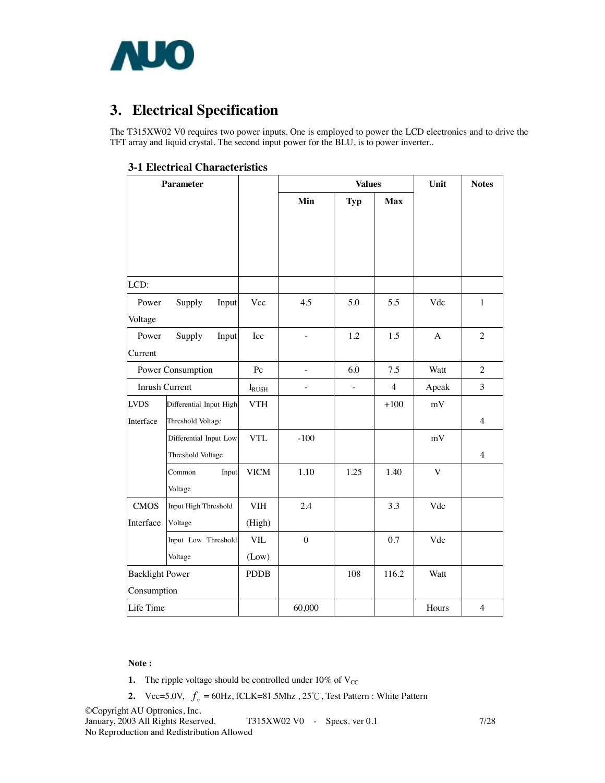

# **3. Electrical Specification**

The T315XW02 V0 requires two power inputs. One is employed to power the LCD electronics and to drive the TFT array and liquid crystal. The second input power for the BLU, is to power inverter..

| 3-1 Electrical Characteristics |
|--------------------------------|
|--------------------------------|

|                        | <b>Parameter</b>        |                |                          | <b>Values</b> |                | Unit         | <b>Notes</b>   |  |
|------------------------|-------------------------|----------------|--------------------------|---------------|----------------|--------------|----------------|--|
|                        |                         |                | Min                      | <b>Typ</b>    | <b>Max</b>     |              |                |  |
|                        |                         |                |                          |               |                |              |                |  |
|                        |                         |                |                          |               |                |              |                |  |
|                        |                         |                |                          |               |                |              |                |  |
| LCD:                   |                         |                |                          |               |                |              |                |  |
| Power                  | Supply<br>Input         | Vcc            | 4.5                      | 5.0           | 5.5            | Vdc          | $\mathbf{1}$   |  |
| Voltage                |                         |                |                          |               |                |              |                |  |
| Power                  | Supply<br>Input         | Icc            | ÷,                       | 1.2           | 1.5            | $\mathbf{A}$ | $\overline{2}$ |  |
| Current                |                         |                |                          |               |                |              |                |  |
| Power Consumption      |                         | Pc             |                          | 6.0           | 7.5            | Watt         | $\overline{2}$ |  |
| Inrush Current         |                         | $I_{\rm RUSH}$ | $\overline{\phantom{0}}$ | $\frac{1}{2}$ | $\overline{4}$ | Apeak        | 3              |  |
| <b>LVDS</b>            | Differential Input High | <b>VTH</b>     |                          |               | $+100$         | $\rm mV$     |                |  |
| Interface              | Threshold Voltage       |                |                          |               |                |              | $\overline{4}$ |  |
|                        | Differential Input Low  | <b>VTL</b>     | $-100$                   |               |                | mV           |                |  |
|                        | Threshold Voltage       |                |                          |               |                |              | $\overline{4}$ |  |
|                        | Common<br>Input         | <b>VICM</b>    | 1.10                     | 1.25          | 1.40           | $\mathbf V$  |                |  |
|                        | Voltage                 |                |                          |               |                |              |                |  |
| <b>CMOS</b>            | Input High Threshold    | <b>VIH</b>     | 2.4                      |               | 3.3            | Vdc          |                |  |
| Interface              | Voltage                 | (High)         |                          |               |                |              |                |  |
|                        | Input Low Threshold     | <b>VIL</b>     | $\boldsymbol{0}$         |               | 0.7            | Vdc          |                |  |
|                        | Voltage                 | (Low)          |                          |               |                |              |                |  |
| <b>Backlight Power</b> |                         | <b>PDDB</b>    |                          | 108           | 116.2          | Watt         |                |  |
| Consumption            |                         |                |                          |               |                |              |                |  |
| Life Time              |                         |                | 60,000                   |               |                | Hours        | $\overline{4}$ |  |

#### **Note :**

- **1.** The ripple voltage should be controlled under  $10\%$  of  $V_{CC}$
- **2.**  $Vcc=5.0V$ ,  $f_v = 60Hz$ , fCLK=81.5Mhz,  $25^{\circ}$ C, Test Pattern : White Pattern

©Copyright AU Optronics, Inc. T315XW02 V0 - Specs. ver 0.1 7/28 No Reproduction and Redistribution Allowed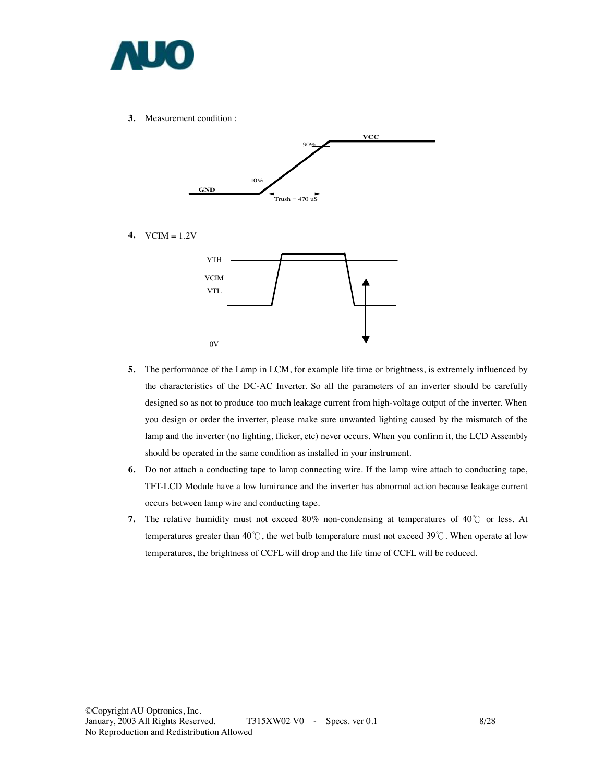

**3.** Measurement condition :



**4.** VCIM = 1.2V



- **5.** The performance of the Lamp in LCM, for example life time or brightness, is extremely influenced by the characteristics of the DC-AC Inverter. So all the parameters of an inverter should be carefully designed so as not to produce too much leakage current from high-voltage output of the inverter. When you design or order the inverter, please make sure unwanted lighting caused by the mismatch of the lamp and the inverter (no lighting, flicker, etc) never occurs. When you confirm it, the LCD Assembly should be operated in the same condition as installed in your instrument.
- **6.** Do not attach a conducting tape to lamp connecting wire. If the lamp wire attach to conducting tape, TFT-LCD Module have a low luminance and the inverter has abnormal action because leakage current occurs between lamp wire and conducting tape.
- **7.** The relative humidity must not exceed 80% non-condensing at temperatures of 40℃ or less. At temperatures greater than 40℃, the wet bulb temperature must not exceed 39℃. When operate at low temperatures, the brightness of CCFL will drop and the life time of CCFL will be reduced.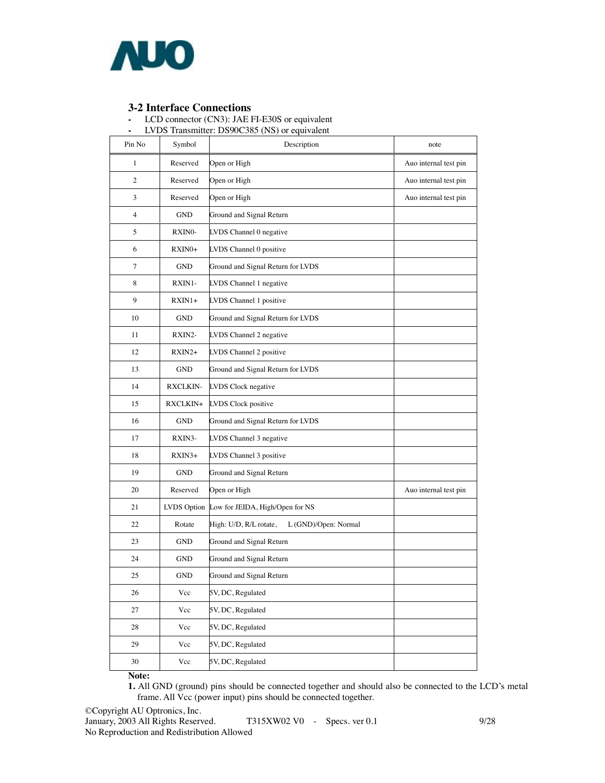

**3-2 Interface Connections -** LCD connector (CN3): JAE FI-E30S or equivalent

|  | LVDS Transmitter: DS90C385 (NS) or equivalent |  |
|--|-----------------------------------------------|--|
|  |                                               |  |

| Pin No | Symbol          | $\epsilon$ . BB3000000 (110) or equivalent<br>Description | note                  |
|--------|-----------------|-----------------------------------------------------------|-----------------------|
| 1      | Reserved        | Open or High                                              | Auo internal test pin |
| 2      | Reserved        | Open or High                                              | Auo internal test pin |
| 3      | Reserved        | Open or High                                              | Auo internal test pin |
| 4      | GND             | Ground and Signal Return                                  |                       |
| 5      | RXINO-          | LVDS Channel 0 negative                                   |                       |
| 6      | RXIN0+          | LVDS Channel 0 positive                                   |                       |
| 7      | GND             | Ground and Signal Return for LVDS                         |                       |
| 8      | RXIN1-          | LVDS Channel 1 negative                                   |                       |
| 9      | RXIN1+          | LVDS Channel 1 positive                                   |                       |
| 10     | <b>GND</b>      | Ground and Signal Return for LVDS                         |                       |
| 11     | RXIN2-          | LVDS Channel 2 negative                                   |                       |
| 12     | $RXIN2+$        | LVDS Channel 2 positive                                   |                       |
| 13     | GND             | Ground and Signal Return for LVDS                         |                       |
| 14     | <b>RXCLKIN-</b> | LVDS Clock negative                                       |                       |
| 15     | RXCLKIN+        | LVDS Clock positive                                       |                       |
| 16     | <b>GND</b>      | Ground and Signal Return for LVDS                         |                       |
| 17     | RXIN3-          | LVDS Channel 3 negative                                   |                       |
| 18     | RXIN3+          | LVDS Channel 3 positive                                   |                       |
| 19     | <b>GND</b>      | Ground and Signal Return                                  |                       |
| 20     | Reserved        | Open or High                                              | Auo internal test pin |
| 21     | LVDS Option     | Low for JEIDA, High/Open for NS                           |                       |
| 22     | Rotate          | High: U/D, R/L rotate,<br>L (GND)/Open: Normal            |                       |
| 23     | GND             | Ground and Signal Return                                  |                       |
| 24     | GND             | Ground and Signal Return                                  |                       |
| 25     | <b>GND</b>      | Ground and Signal Return                                  |                       |
| 26     | Vcc             | 5V, DC, Regulated                                         |                       |
| 27     | Vcc             | 5V, DC, Regulated                                         |                       |
| 28     | Vcc             | 5V, DC, Regulated                                         |                       |
| 29     | Vcc             | 5V, DC, Regulated                                         |                       |
| 30     | Vcc             | 5V, DC, Regulated                                         |                       |

**Note:** 

**1.** All GND (ground) pins should be connected together and should also be connected to the LCD's metal frame. All Vcc (power input) pins should be connected together.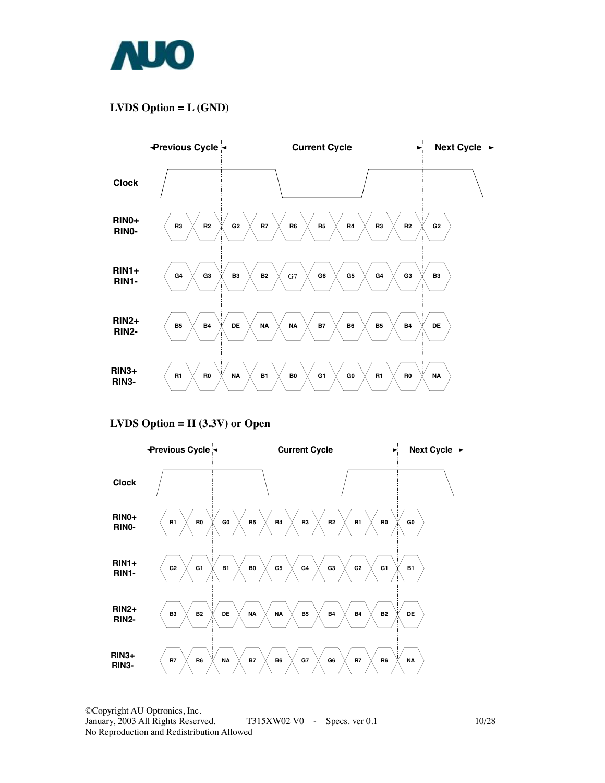

### **LVDS Option = L (GND)**



**LVDS Option = H (3.3V) or Open** 

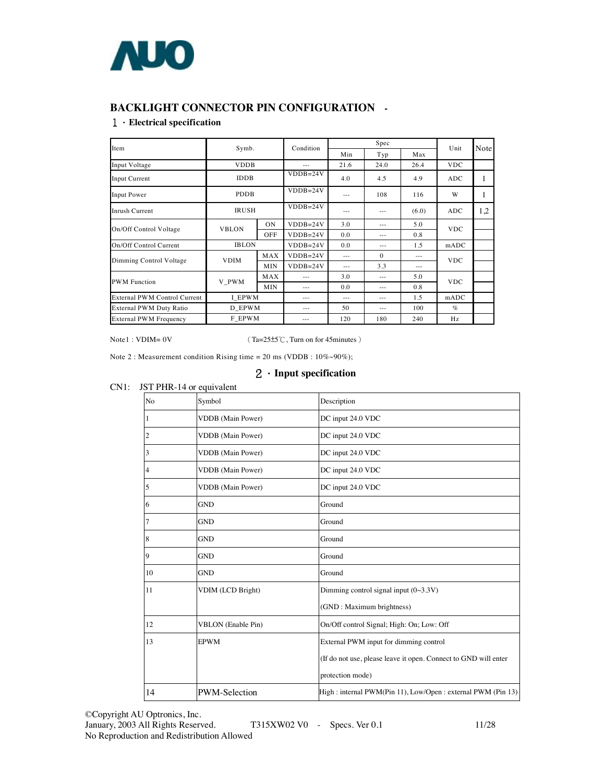

#### **BACKLIGHT CONNECTOR PIN CONFIGURATION -**

#### 1.**Electrical specification**

| Item                                | Symb.        |            | Condition  | Spec    |          |         | Unit       | Note   |
|-------------------------------------|--------------|------------|------------|---------|----------|---------|------------|--------|
|                                     |              |            |            | Min     | Typ      | Max     |            |        |
| Input Voltage                       | <b>VDDB</b>  |            | $---$      | 21.6    | 24.0     | 26.4    | <b>VDC</b> |        |
| Input Current                       | <b>IDDB</b>  |            | $VDDB=24V$ | 4.0     | 4.5      | 4.9     | <b>ADC</b> | 1      |
| <b>Input Power</b>                  | <b>PDDB</b>  |            | $VDDB=24V$ | ---     | 108      | 116     | W          | 1<br>1 |
| Inrush Current                      | <b>IRUSH</b> |            | $VDDB=24V$ | ---     | $- - -$  | (6.0)   | <b>ADC</b> | 1,2    |
| On/Off Control Voltage              | <b>VBLON</b> | <b>ON</b>  | $VDDB=24V$ | 3.0     | $- - -$  | 5.0     | <b>VDC</b> |        |
|                                     |              | OFF        | $VDDB=24V$ | 0.0     | $- - -$  | 0.8     |            |        |
| On/Off Control Current              | <b>IBLON</b> |            | $VDDB=24V$ | 0.0     | $- - -$  | 1.5     | mADC       |        |
| Dimming Control Voltage             | <b>VDIM</b>  | MAX        | $VDDB=24V$ | $- - -$ | $\Omega$ | $- - -$ | <b>VDC</b> |        |
|                                     |              | MIN        | $VDDB=24V$ | $---$   | 3.3      | $- - -$ |            |        |
| <b>PWM</b> Function                 | V PWM        | MAX        | ---        | 3.0     | $- - -$  | 5.0     | <b>VDC</b> |        |
|                                     |              | <b>MIN</b> | $---$      | 0.0     | $- - -$  | 0.8     |            |        |
| <b>External PWM Control Current</b> | I EPWM       |            | ---        | $- - -$ | $- - -$  | 1.5     | mADC       |        |
| External PWM Duty Ratio             | D EPWM       |            | $- - -$    | 50      | $- - -$  | 100     | $\%$       |        |
| <b>External PWM Frequency</b>       | F EPWM       |            | ---        | 120     | 180      | 240     | Hz         |        |

Note1 : VDIM= 0V (Ta=25±5℃, Turn on for 45minutes)

Note 2 : Measurement condition Rising time = 20 ms (VDDB : 10%~90%);

#### 2.**Input specification**

|    |                           | $\mathcal{L}$ $\rightarrow$ Input spectrication                 |
|----|---------------------------|-----------------------------------------------------------------|
|    | JST PHR-14 or equivalent  |                                                                 |
| No | Symbol                    | Description                                                     |
|    | <b>VDDB</b> (Main Power)  | DC input 24.0 VDC                                               |
|    | <b>VDDB</b> (Main Power)  | DC input 24.0 VDC                                               |
|    | <b>VDDB</b> (Main Power)  | DC input 24.0 VDC                                               |
|    | <b>VDDB</b> (Main Power)  | DC input 24.0 VDC                                               |
| 5  | <b>VDDB</b> (Main Power)  | DC input 24.0 VDC                                               |
| 6  | <b>GND</b>                | Ground                                                          |
|    | <b>GND</b>                | Ground                                                          |
| 8  | <b>GND</b>                | Ground                                                          |
| 9  | <b>GND</b>                | Ground                                                          |
| 10 | <b>GND</b>                | Ground                                                          |
| 11 | VDIM (LCD Bright)         | Dimming control signal input $(0~3.3V)$                         |
|    |                           | (GND: Maximum brightness)                                       |
| 12 | <b>VBLON</b> (Enable Pin) | On/Off control Signal; High: On; Low: Off                       |
| 13 | <b>EPWM</b>               | External PWM input for dimming control                          |
|    |                           | (If do not use, please leave it open. Connect to GND will enter |
|    |                           | protection mode)                                                |
| 14 | <b>PWM-Selection</b>      | High: internal PWM(Pin 11), Low/Open: external PWM (Pin 13)     |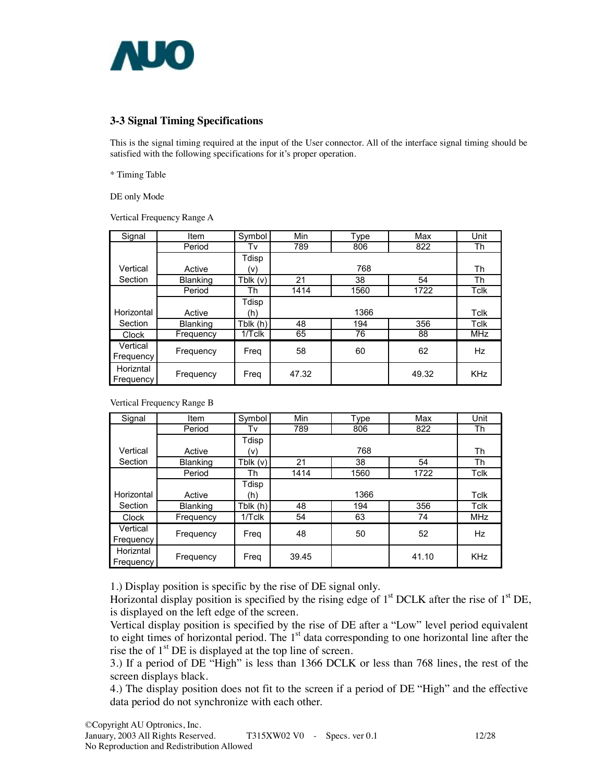

#### **3-3 Signal Timing Specifications**

This is the signal timing required at the input of the User connector. All of the interface signal timing should be satisfied with the following specifications for it's proper operation.

\* Timing Table

DE only Mode

Vertical Frequency Range A

| Signal     | <b>Item</b>     | Symbol     | Min   | Type | Max   | Unit        |
|------------|-----------------|------------|-------|------|-------|-------------|
|            | Period          | Tv         | 789   | 806  | 822   | Th          |
|            |                 | Tdisp      |       |      |       |             |
| Vertical   | Active          | (v)        |       | 768  |       | Th          |
| Section    | <b>Blanking</b> | Tblk $(v)$ | 21    | 38   | 54    | Th          |
|            | Period          | Th         | 1414  | 1560 | 1722  | <b>Tclk</b> |
|            |                 | Tdisp      |       |      |       |             |
| Horizontal | Active          | (h)        |       | 1366 |       | Tclk        |
| Section    | <b>Blanking</b> | Tblk $(h)$ | 48    | 194  | 356   | Tclk        |
| Clock      | Frequency       | 1/Tclk     | 65    | 76   | 88    | <b>MHz</b>  |
| Vertical   | Frequency       | Freq       | 58    | 60   | 62    | Hz          |
| Frequency  |                 |            |       |      |       |             |
| Horizntal  |                 |            | 47.32 |      | 49.32 | <b>KHz</b>  |
| Frequency  | Frequency       | Freq       |       |      |       |             |

Vertical Frequency Range B

| Signal     | Item            | Symbol    | Min   | <b>Type</b> | Max   | Unit        |
|------------|-----------------|-----------|-------|-------------|-------|-------------|
|            | Period          | Tv        | 789   | 806         | 822   | Th          |
|            |                 | Tdisp     |       |             |       |             |
| Vertical   | Active          | (v)       |       | 768         |       | Th          |
| Section    | <b>Blanking</b> | Tblk(v)   | 21    | 38          | 54    | Th          |
|            | Period          | Th        | 1414  | 1560        | 1722  | <b>Tclk</b> |
|            |                 | Tdisp     |       |             |       |             |
| Horizontal | Active          | (h)       |       | 1366        |       | Tclk        |
| Section    | Blanking        | Tblk (h)  | 48    | 194         | 356   | Tclk        |
| Clock      | Frequency       | $1/T$ clk | 54    | 63          | 74    | <b>MHz</b>  |
| Vertical   | Frequency       | Freg      | 48    | 50          | 52    | Hz          |
| Frequency  |                 |           |       |             |       |             |
| Horizntal  |                 |           | 39.45 |             | 41.10 | <b>KHz</b>  |
| Frequency  | Frequency       | Freq      |       |             |       |             |

1.) Display position is specific by the rise of DE signal only.

Horizontal display position is specified by the rising edge of  $1<sup>st</sup> DCLK$  after the rise of  $1<sup>st</sup> DE$ , is displayed on the left edge of the screen.

Vertical display position is specified by the rise of DE after a "Low" level period equivalent to eight times of horizontal period. The  $1<sup>st</sup>$  data corresponding to one horizontal line after the rise the of  $1<sup>st</sup>$  DE is displayed at the top line of screen.

3.) If a period of DE "High" is less than 1366 DCLK or less than 768 lines, the rest of the screen displays black.

4.) The display position does not fit to the screen if a period of DE "High" and the effective data period do not synchronize with each other.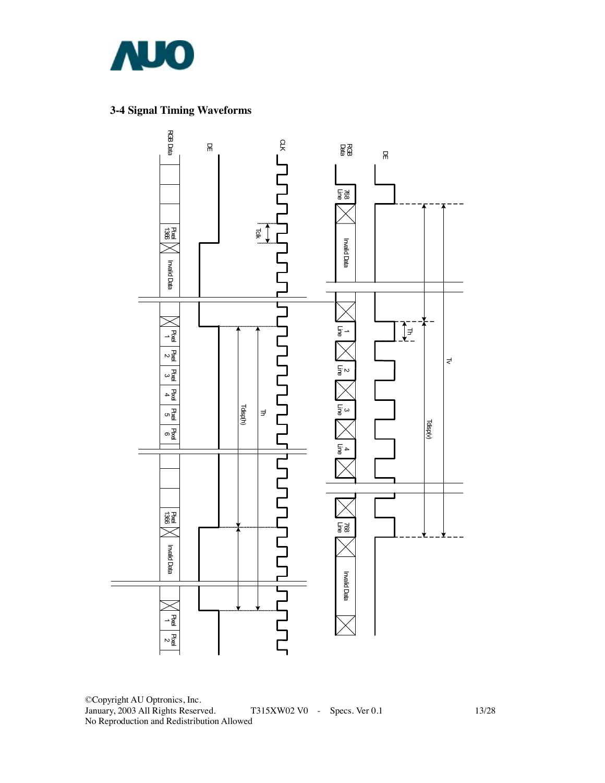

### **3-4 Signal Timing Waveforms**



©Copyright AU Optronics, Inc. January, 2003 All Rights Reserved. T315XW02 V0 - Specs. Ver 0.1 13/28 No Reproduction and Redistribution Allowed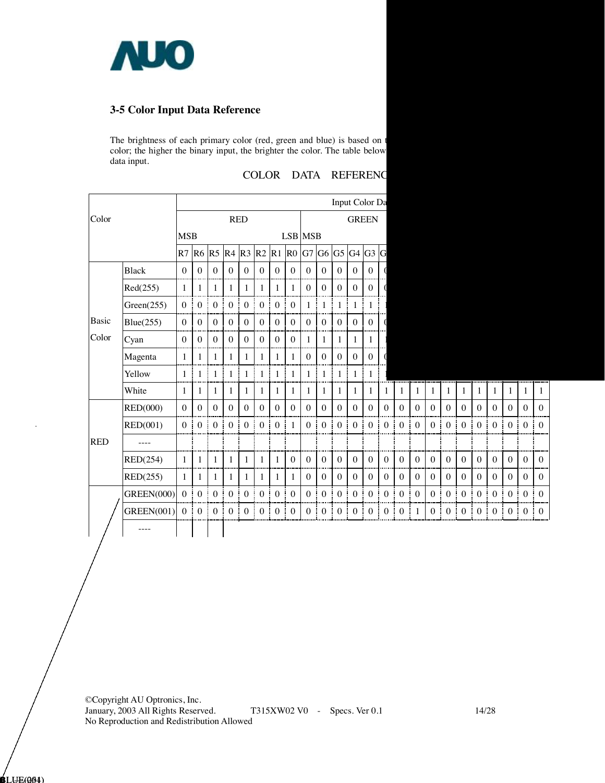

#### **3-5 Color Input Data Reference**

The brightness of each primary color (red, green and blue) is based on color; the higher the binary input, the brighter the color. The table below data input.

|            |                   |                  |                       |                |                       |                   |                  |                     |                       |                  |                       |                  | Input Color Da        |                   |                  |                       |              |                     |                  |                     |                       |                        |                     |              |                     |
|------------|-------------------|------------------|-----------------------|----------------|-----------------------|-------------------|------------------|---------------------|-----------------------|------------------|-----------------------|------------------|-----------------------|-------------------|------------------|-----------------------|--------------|---------------------|------------------|---------------------|-----------------------|------------------------|---------------------|--------------|---------------------|
| Color      |                   |                  | <b>RED</b>            |                |                       |                   | <b>GREEN</b>     |                     |                       |                  |                       |                  |                       |                   |                  |                       |              |                     |                  |                     |                       |                        |                     |              |                     |
|            |                   | <b>MSB</b>       |                       |                |                       |                   |                  |                     |                       | <b>LSB</b> MSB   |                       |                  |                       |                   |                  |                       |              |                     |                  |                     |                       |                        |                     |              |                     |
|            |                   | R7               | R <sub>6</sub>        | R <sub>5</sub> | R <sub>4</sub>        | R <sub>3</sub>    | R2               | R1                  |                       | R0 G7 G6 G5      |                       |                  | $G4$ $G3$             |                   | G                |                       |              |                     |                  |                     |                       |                        |                     |              |                     |
|            | <b>Black</b>      | $\theta$         | $\mathbf{0}$          | $\theta$       | $\mathbf{0}$          | $\theta$          | $\mathbf{0}$     | $\theta$            | $\mathbf{0}$          | $\mathbf{0}$     | $\boldsymbol{0}$      | $\theta$         | $\mathbf{0}$          | $\theta$          |                  |                       |              |                     |                  |                     |                       |                        |                     |              |                     |
|            | Red(255)          | 1                | $\mathbf{1}$          |                | $\mathbf{1}$          | 1                 | $\mathbf{1}$     | 1                   | 1                     | $\mathbf{0}$     | $\boldsymbol{0}$      | $\mathbf{0}$     | $\boldsymbol{0}$      | $\mathbf{0}$      |                  |                       |              |                     |                  |                     |                       |                        |                     |              |                     |
|            | Green(255)        | $\theta$         | $\boldsymbol{0}$      | $\mathbf{0}$   | $\boldsymbol{0}$      | $\mathbf{0}$      | $\boldsymbol{0}$ | $\mathbf{0}$        | $\mathbf{0}$          | 1                | $\mathbf{1}$          | 1                | 1                     | ŧ<br>$\mathbf{1}$ |                  |                       |              |                     |                  |                     |                       |                        |                     |              |                     |
| Basic      | Blue(255)         | $\theta$         | $\mathbf{0}$          | $\mathbf{0}$   | $\mathbf{0}$          | $\mathbf{0}$      | $\mathbf{0}$     | $\mathbf{0}$        | $\boldsymbol{0}$      | $\mathbf{0}$     | $\mathbf{0}$          | $\mathbf{0}$     | $\mathbf{0}$          | $\mathbf{0}$      |                  |                       |              |                     |                  |                     |                       |                        |                     |              |                     |
| Color      | Cyan              | $\boldsymbol{0}$ | $\boldsymbol{0}$      | $\mathbf{0}$   | $\boldsymbol{0}$      | $\mathbf{0}$      | $\boldsymbol{0}$ | $\mathbf{0}$        | $\boldsymbol{0}$      | 1                | $\mathbf{1}$<br>ĵ     | 1                | $\mathbf{1}$          | 1<br>j            |                  |                       |              |                     |                  |                     |                       |                        |                     |              |                     |
|            | Magenta           | $\mathbf{1}$     | $\mathbf{1}$          | 1              | $\mathbf{1}$          | 1                 | $\mathbf{1}$     | 1                   | 1                     | $\mathbf{0}$     | $\boldsymbol{0}$      | $\mathbf{0}$     | $\boldsymbol{0}$      | $\mathbf{0}$      |                  |                       |              |                     |                  |                     |                       |                        |                     |              |                     |
|            | Yellow            | 1                | $\mathbf{1}$          | 1              | 1                     | 1                 | $\mathbf{1}$     | 1                   | 1                     | 1                | $\mathbf{1}$<br>I     | 1                | 1                     | Ī<br>1            |                  |                       |              |                     |                  |                     |                       |                        |                     |              |                     |
|            | White             | 1                | $\mathbf{1}$          | 1              | $\mathbf{1}$          | 1                 | 1                | 1                   | 1                     | 1                | 1                     | 1                | 1                     | 1                 | $\mathbf{1}$     | 1                     | 1            | 1                   | $\mathbf{1}$     | 1                   | 1                     | 1                      | 1                   | $\mathbf{1}$ | 1                   |
|            | RED(000)          | $\Omega$         | $\boldsymbol{0}$      | $\mathbf{0}$   | $\boldsymbol{0}$      | $\mathbf{0}$      | $\boldsymbol{0}$ | $\mathbf{0}$        | $\boldsymbol{0}$      | $\mathbf{0}$     | $\boldsymbol{0}$      | $\mathbf{0}$     | $\boldsymbol{0}$      | $\mathbf{0}$      | $\mathbf{0}$     | $\overline{0}$        | $\mathbf{0}$ | $\overline{0}$      | $\mathbf{0}$     | $\mathbf{0}$        | $\mathbf{0}$          | $\theta$               | $\mathbf{0}$        | $\theta$     | $\mathbf{0}$        |
|            | RED(001)          | $\theta$         | $\boldsymbol{0}$      | $\mathbf{0}$   | $\boldsymbol{0}$      | $\mathbf{0}$      | $\boldsymbol{0}$ | $\mathbf{0}$        | ŧ<br>$\mathbf{1}$     | $\overline{0}$   | $\boldsymbol{0}$<br>÷ | $\theta$         | $\boldsymbol{0}$      | Î<br>$\mathbf{0}$ | $\boldsymbol{0}$ | $\mathbf{0}$          | $\theta$     | $\overline{0}$      | $\mathbf{0}$     | $\overline{0}$      | $\boldsymbol{0}$<br>ŧ | $\overline{0}$         | $\mathbf{0}$        | $\mathbf{0}$ | $\mathbf{0}$        |
| <b>RED</b> | ----              |                  |                       |                |                       |                   |                  |                     |                       |                  |                       |                  |                       |                   |                  |                       |              |                     |                  |                     |                       |                        |                     |              |                     |
|            | RED(254)          | 1                | $\mathbf{1}$          | $\mathbf{1}$   | $\mathbf{1}$          | 1                 | $\mathbf{1}$     | 1                   | $\boldsymbol{0}$      | $\boldsymbol{0}$ | $\boldsymbol{0}$<br>ī | $\theta$         | $\boldsymbol{0}$      | $\theta$<br>Ŧ     | $\theta$         | $\theta$              | $\theta$     | $\overline{0}$      | $\theta$         | $\theta$            | $\mathbf{0}$          | $\theta$               | $\mathbf{0}$        | $\theta$     | $\mathbf{0}$        |
|            | RED(255)          | $\mathbf{1}$     | $\mathbf{1}$          | $\mathbf{1}$   | 1                     | $\mathbf{1}$      | $\mathbf{1}$     | $\mathbf{1}$<br>H   | 1                     | $\mathbf{0}$     | $\boldsymbol{0}$      | $\mathbf{0}$     | $\boldsymbol{0}$      | $\mathbf{0}$      | $\boldsymbol{0}$ | $\mathbf{0}$          | $\mathbf{0}$ | $\overline{0}$      | $\mathbf{0}$     | $\mathbf{0}$        | $\boldsymbol{0}$      | $\overline{0}$         | $\mathbf{0}$        | $\mathbf{0}$ | $\mathbf{0}$        |
|            | <b>GREEN(000)</b> | $\mathbf{0}$     | $\boldsymbol{0}$<br>÷ | $\mathbf{0}$   | $\boldsymbol{0}$<br>j | $\mathbf{0}$      | $\boldsymbol{0}$ | $\mathbf{0}$        | $\boldsymbol{0}$<br>ŧ | $\mathbf{0}$     | $\boldsymbol{0}$<br>ŧ | $\boldsymbol{0}$ | $\boldsymbol{0}$      | ŧ<br>$\mathbf{0}$ | $\boldsymbol{0}$ | $\mathbf{0}$<br>i     | $\mathbf{0}$ | $\overline{0}$      | $\boldsymbol{0}$ | $\overline{0}$<br>÷ | $\mathbf{0}$          | $\overline{0}$         | $\mathbf{0}$        | $\mathbf{0}$ | $\mathbf{0}$        |
|            | <b>GREEN(001)</b> | $\theta$         | $\mathbf{0}$<br>÷     | $\theta$       | $\mathbf{0}$<br>ŧ     | $\mathbf{0}$<br>÷ | $\overline{0}$   | $\overline{0}$<br>÷ | ī<br>$\bf{0}$         | $\overline{0}$   | $\boldsymbol{0}$<br>÷ | $\overline{0}$   | $\boldsymbol{0}$<br>÷ | $\overline{0}$    | $\boldsymbol{0}$ | $\boldsymbol{0}$<br>÷ | 1<br>÷       | $\overline{0}$<br>÷ | $\boldsymbol{0}$ | $\overline{0}$<br>÷ | ÷<br>$\mathbf{0}$     | $\mathbf{0}$<br>÷<br>÷ | $\overline{0}$<br>÷ | $\mathbf{0}$ | $\overline{0}$<br>÷ |
|            |                   |                  |                       |                |                       |                   |                  |                     |                       |                  |                       |                  |                       |                   |                  |                       |              |                     |                  |                     |                       |                        |                     |              |                     |

COLOR DATA REFERENC

©Copyright AU Optronics, Inc. January, 2003 All Rights Reserved. T315XW02 V0 - Specs. Ver 0.1 14/28 No Reproduction and Redistribution Allowed

**B**LUE(004)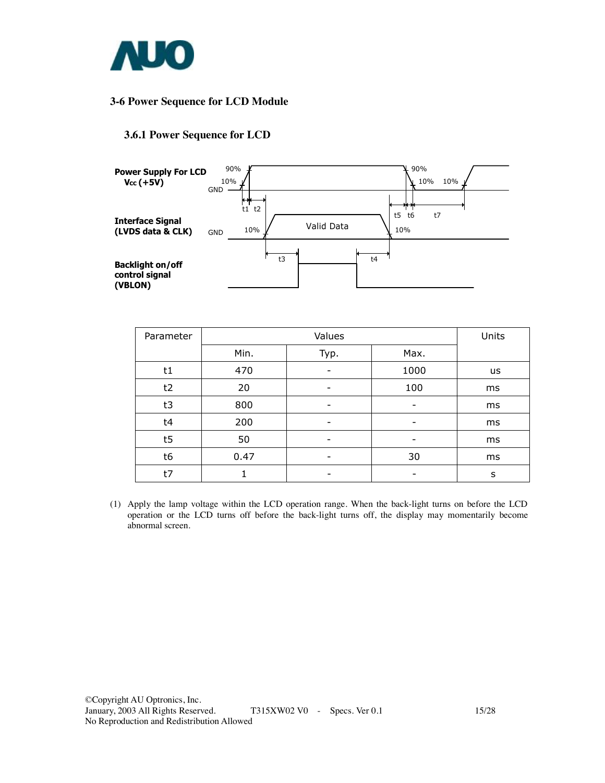

#### **3-6 Power Sequence for LCD Module**

#### **3.6.1 Power Sequence for LCD**



| Parameter |      | Units |      |    |
|-----------|------|-------|------|----|
|           | Min. | Typ.  | Max. |    |
| t1        | 470  |       | 1000 | us |
| t2        | 20   |       | 100  | ms |
| t3        | 800  |       | -    | ms |
| t4        | 200  |       |      | ms |
| t5        | 50   | -     | -    | ms |
| t6        | 0.47 |       | 30   | ms |
| t7        |      |       |      | s  |

(1) Apply the lamp voltage within the LCD operation range. When the back-light turns on before the LCD operation or the LCD turns off before the back-light turns off, the display may momentarily become abnormal screen.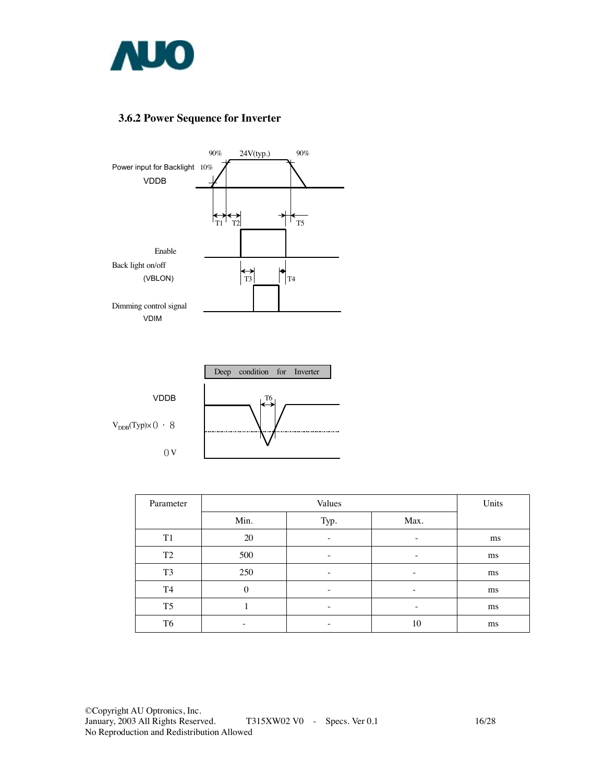

#### **3.6.2 Power Sequence for Inverter**





| Parameter      |          | Units                    |      |    |
|----------------|----------|--------------------------|------|----|
|                | Min.     | Typ.                     | Max. |    |
| T <sub>1</sub> | 20       |                          | -    | ms |
| T <sub>2</sub> | 500      |                          | -    | ms |
| T <sub>3</sub> | 250      | $\overline{\phantom{0}}$ | -    | ms |
| T4             | $\Omega$ | -                        | -    | ms |
| T <sub>5</sub> |          | -                        | -    | ms |
| T <sub>6</sub> | -        |                          | 10   | ms |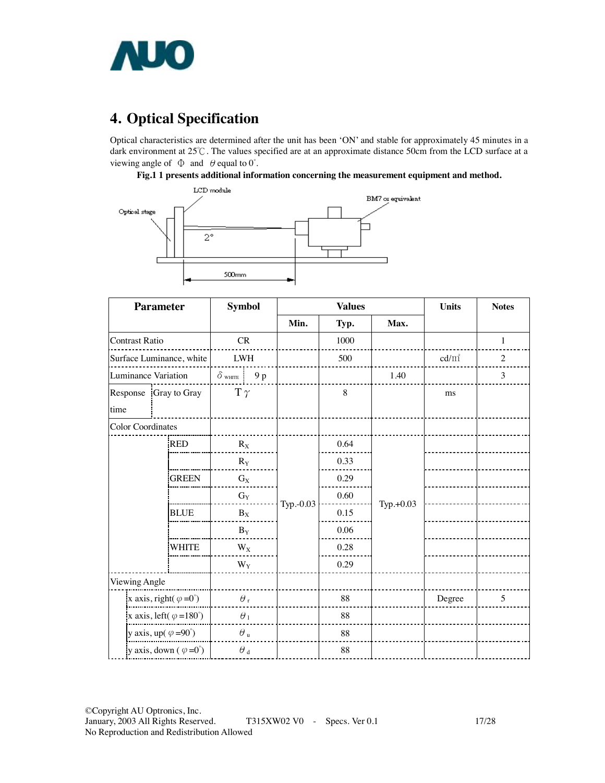

# **4. Optical Specification**

Optical characteristics are determined after the unit has been 'ON' and stable for approximately 45 minutes in a dark environment at 25℃. The values specified are at an approximate distance 50cm from the LCD surface at a viewing angle of  $\Phi$  and  $\theta$  equal to 0°.

#### **Fig.1 1 presents additional information concerning the measurement equipment and method.**



| <b>Parameter</b>                       |              | <b>Symbol</b>           |           | <b>Values</b> | <b>Units</b> | <b>Notes</b> |                |
|----------------------------------------|--------------|-------------------------|-----------|---------------|--------------|--------------|----------------|
|                                        |              |                         | Min.      | Typ.          | Max.         |              |                |
| <b>Contrast Ratio</b>                  |              |                         |           | 1000          |              |              | $\mathbf{1}$   |
| Surface Luminance, white               |              | ${\rm LWH}$             |           | 500           |              | $cd/m^2$     | $\overline{c}$ |
| <b>Luminance Variation</b>             |              | $\delta$ white<br>9 p   |           |               | 1.40         |              | 3              |
| Response Gray to Gray<br>time          |              | $T \gamma$              |           | 8             |              | ms           |                |
| <b>Color Coordinates</b>               |              |                         |           |               |              |              |                |
|                                        | <b>RED</b>   | $R_X$                   |           | 0.64          |              |              |                |
|                                        |              | $R_Y$                   |           | 0.33          |              |              |                |
|                                        | <b>GREEN</b> | $G_X$                   |           | 0.29          |              |              |                |
|                                        |              | $G_Y$                   | Typ.-0.03 | 0.60          | Typ.+0.03    |              |                |
|                                        | <b>BLUE</b>  | $B_X$                   |           | 0.15          |              |              |                |
|                                        |              | $\mathbf{B}_\mathbf{Y}$ |           | 0.06          |              |              |                |
|                                        | <b>WHITE</b> | $W_X$                   |           | 0.28          |              |              |                |
|                                        |              | $W_Y$                   |           | 0.29          |              |              |                |
| Viewing Angle                          |              |                         |           |               |              |              |                |
| x axis, right( $\varphi = 0^{\circ}$ ) |              | $\theta$ ,              |           | 88            |              | Degree       | 5              |
| x axis, left( $\varphi = 180^\circ$ )  |              | $\theta_1$              |           | 88            |              |              |                |
| y axis, up( $\varphi = 90^{\circ}$ )   |              | $\theta$ u              |           | 88            |              |              |                |
| y axis, down $(\varphi = 0^{\circ})$   |              | $\theta$ $_{\rm d}$     |           | 88            |              |              |                |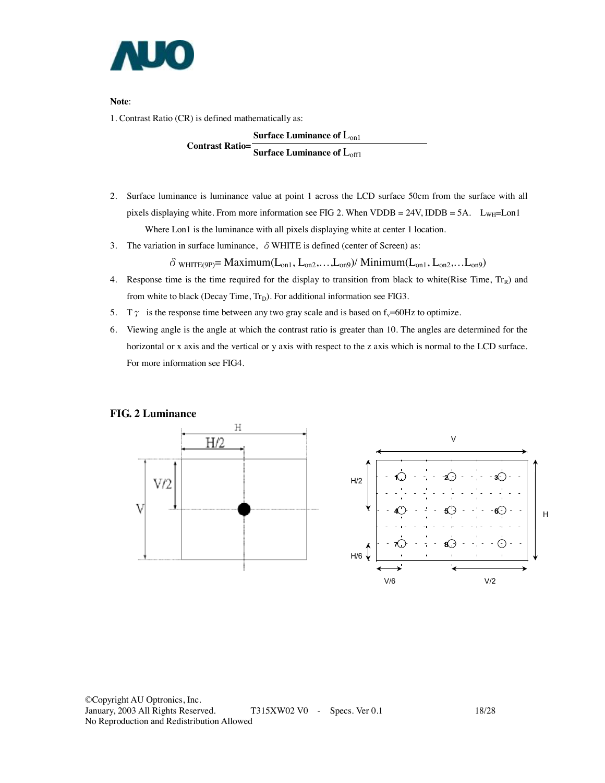

**Note**:

1. Contrast Ratio (CR) is defined mathematically as:

**Surface Luminance of L<sub>on1</sub> Contrast Ratio= Surface Luminance of L<sub>off1</sub>** 

- 2. Surface luminance is luminance value at point 1 across the LCD surface 50cm from the surface with all pixels displaying white. From more information see FIG 2. When VDDB = 24V, IDDB = 5A.  $L_{WH}$ = Lon1 Where Lon1 is the luminance with all pixels displaying white at center 1 location.
- 3. The variation in surface luminance,  $\delta$  WHITE is defined (center of Screen) as:

 $\delta$  white (9p) = Maximum( $L_{on1}$ ,  $L_{on2}$ ,..., $L_{on9}$ ) / Minimum( $L_{on1}$ ,  $L_{on2}$ ,..., $L_{on9}$ )

- 4. Response time is the time required for the display to transition from black to white(Rise Time,  $Tr_R$ ) and from white to black (Decay Time,  $Tr_D$ ). For additional information see FIG3.
- 5. T  $\gamma$  is the response time between any two gray scale and is based on f<sub>v</sub>=60Hz to optimize.
- 6. Viewing angle is the angle at which the contrast ratio is greater than 10. The angles are determined for the horizontal or x axis and the vertical or y axis with respect to the z axis which is normal to the LCD surface. For more information see FIG4.

#### **FIG. 2 Luminance**

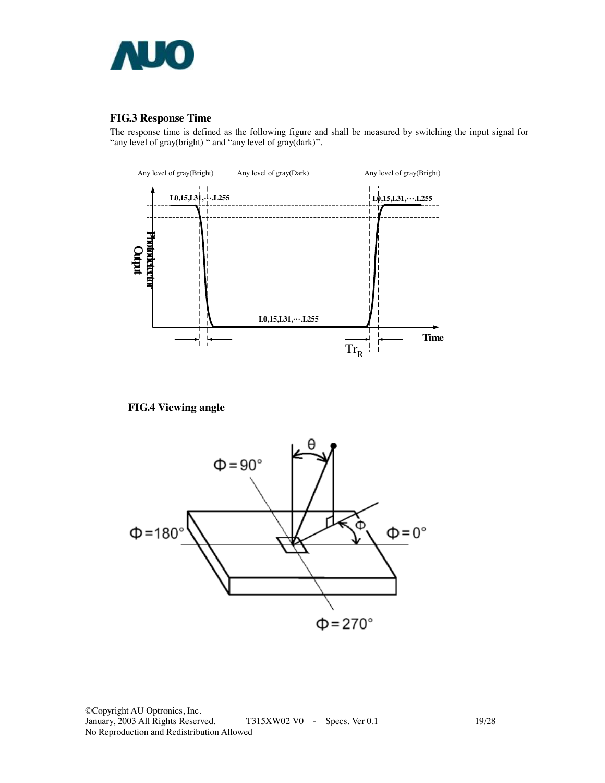

#### **FIG.3 Response Time**

The response time is defined as the following figure and shall be measured by switching the input signal for "any level of gray(bright) " and "any level of gray(dark)".



**FIG.4 Viewing angle** 



©Copyright AU Optronics, Inc. T315XW02 V0 - Specs. Ver 0.1 19/28 No Reproduction and Redistribution Allowed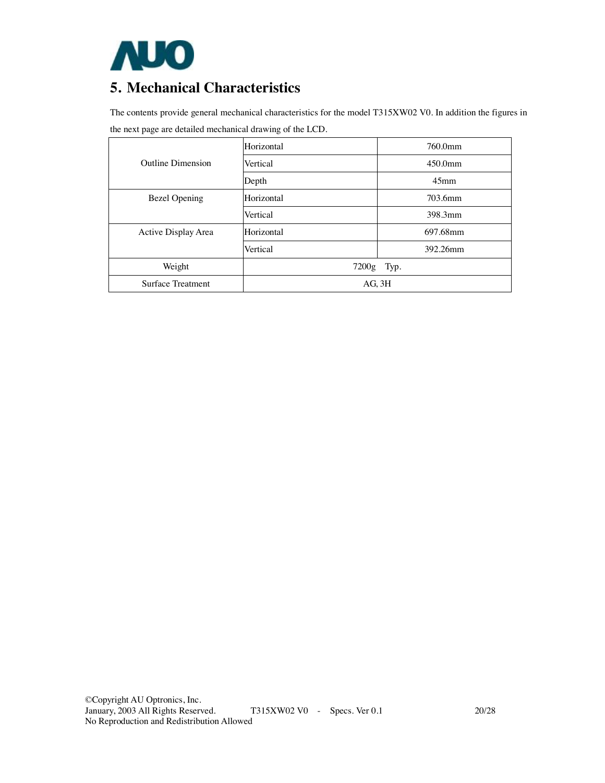

### **5. Mechanical Characteristics**

The contents provide general mechanical characteristics for the model T315XW02 V0. In addition the figures in the next page are detailed mechanical drawing of the LCD.

|                      | Horizontal  | 760.0mm          |  |  |
|----------------------|-------------|------------------|--|--|
| Outline Dimension    | Vertical    | 450.0mm          |  |  |
|                      | Depth       | 45 <sub>mm</sub> |  |  |
| <b>Bezel Opening</b> | Horizontal  | 703.6mm          |  |  |
|                      | Vertical    | 398.3mm          |  |  |
| Active Display Area  | Horizontal  | 697.68mm         |  |  |
|                      | Vertical    | 392.26mm         |  |  |
| Weight               | 7200g       | Typ.             |  |  |
| Surface Treatment    | $AG$ , $3H$ |                  |  |  |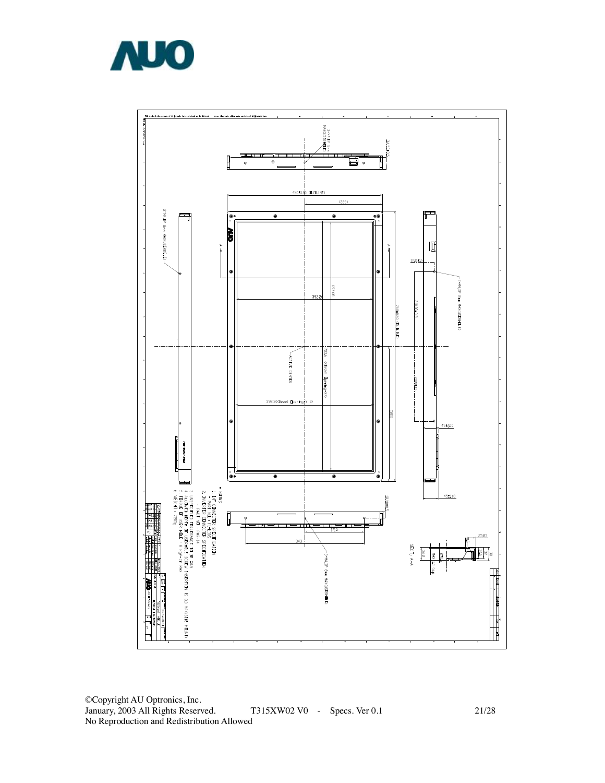



©Copyright AU Optronics, Inc. January, 2003 All Rights Reserved . T315XW02 V0 - Specs. Ver 0.1 No Reproduction and Redistribution Allowed

21/28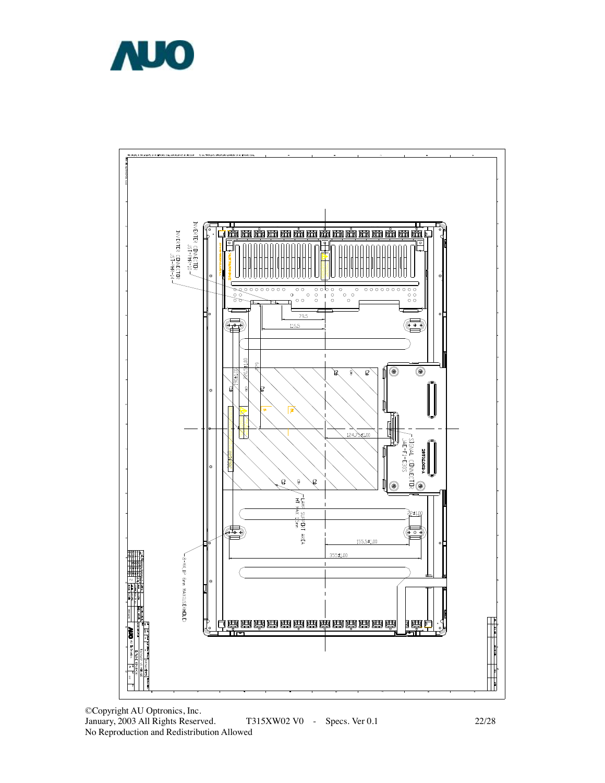



©Copyright AU Optronics, Inc. January, 2003 All Rights Reserved. T315XW02 V0 - Specs. Ver 0.1 22/28 No Reproduction and Redistribution Allowed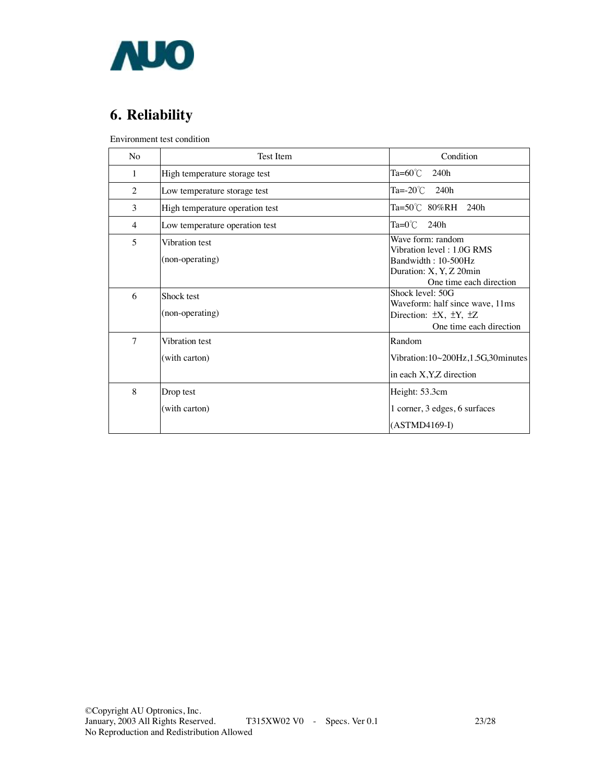

# **6. Reliability**

Environment test condition

| N <sub>o</sub>           | <b>Test Item</b>                  | Condition                                                                                                                   |
|--------------------------|-----------------------------------|-----------------------------------------------------------------------------------------------------------------------------|
| 1                        | High temperature storage test     | Ta= $60^{\circ}$ C<br>240h                                                                                                  |
| 2                        | Low temperature storage test      | Ta= $-20^{\circ}$ C 240h                                                                                                    |
| 3                        | High temperature operation test   | $Ta = 50^{\circ}C$ 80%RH 240h                                                                                               |
| 4                        | Low temperature operation test    | $Ta=0^{\circ}$ C 240h                                                                                                       |
| $\overline{\phantom{0}}$ | Vibration test<br>(non-operating) | Wave form: random<br>Vibration level: 1.0G RMS<br>Bandwidth: 10-500Hz<br>Duration: X, Y, Z 20min<br>One time each direction |
| 6                        | Shock test<br>(non-operating)     | Shock level: 50G<br>Waveform: half since wave, 11ms<br>Direction: $\pm X$ , $\pm Y$ , $\pm Z$<br>One time each direction    |
| $\overline{7}$           | Vibration test<br>(with carton)   | Random<br>Vibration:10~200Hz,1.5G,30minutes<br>in each X, Y, Z direction                                                    |
| 8                        | Drop test<br>(with carton)        | Height: 53.3cm<br>1 corner, 3 edges, 6 surfaces<br>$(ASTMD4169-I)$                                                          |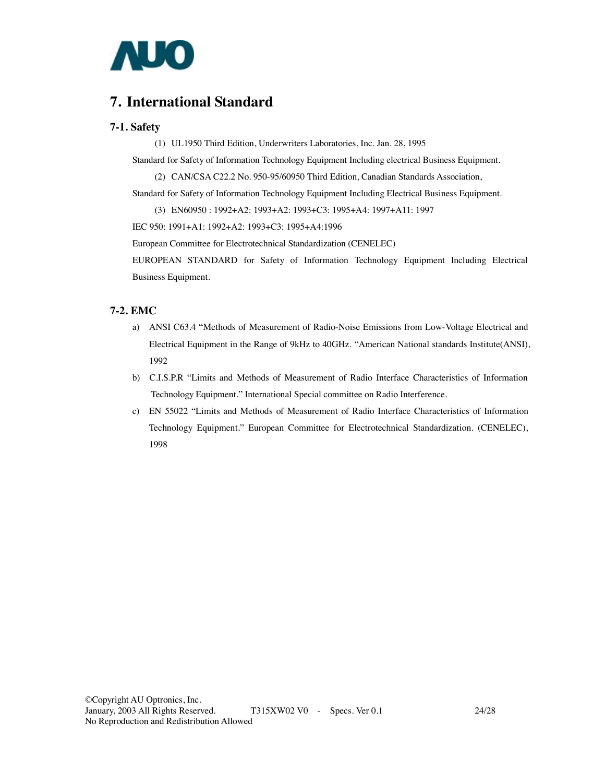

### **7. International Standard**

#### **7-1. Safety**

(1) UL1950 Third Edition, Underwriters Laboratories, Inc. Jan. 28, 1995

Standard for Safety of Information Technology Equipment Including electrical Business Equipment.

(2) CAN/CSA C22.2 No. 950-95/60950 Third Edition, Canadian Standards Association,

Standard for Safety of Information Technology Equipment Including Electrical Business Equipment.

(3) EN60950 : 1992+A2: 1993+A2: 1993+C3: 1995+A4: 1997+A11: 1997

IEC 950: 1991+A1: 1992+A2: 1993+C3: 1995+A4:1996

European Committee for Electrotechnical Standardization (CENELEC)

EUROPEAN STANDARD for Safety of Information Technology Equipment Including Electrical Business Equipment.

#### **7-2. EMC**

- a) ANSI C63.4 "Methods of Measurement of Radio-Noise Emissions from Low-Voltage Electrical and Electrical Equipment in the Range of 9kHz to 40GHz. "American National standards Institute(ANSI), 1992
- b) C.I.S.P.R "Limits and Methods of Measurement of Radio Interface Characteristics of Information Technology Equipment." International Special committee on Radio Interference.
- c) EN 55022 "Limits and Methods of Measurement of Radio Interface Characteristics of Information Technology Equipment." European Committee for Electrotechnical Standardization. (CENELEC), 1998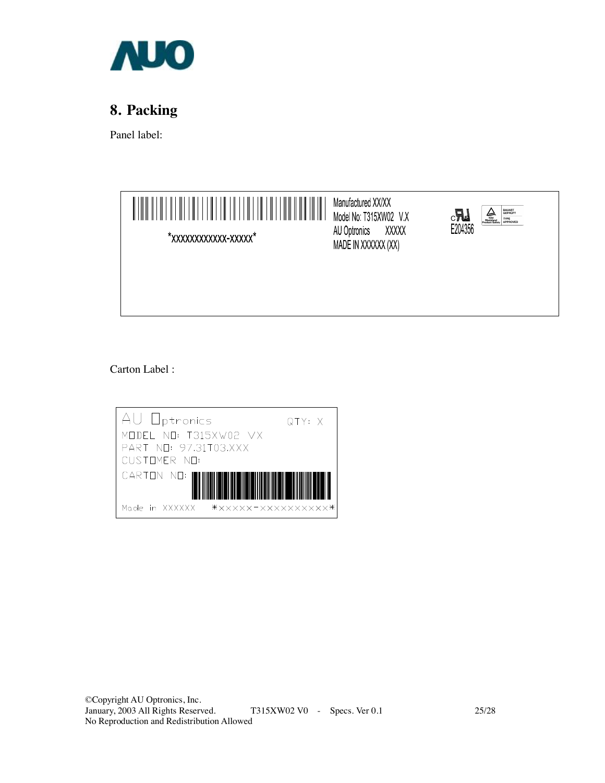

# **8. Packing**

Panel label:



Carton Label :

| AU Optronics                         | QTY: X |
|--------------------------------------|--------|
| MODEL NO: T315XW02 VX                |        |
| PART NO: 97.31T03.XXX                |        |
| CUSTOMER NO:                         |        |
| CARION NO:                           |        |
| ******************<br>Made in XXXXXX |        |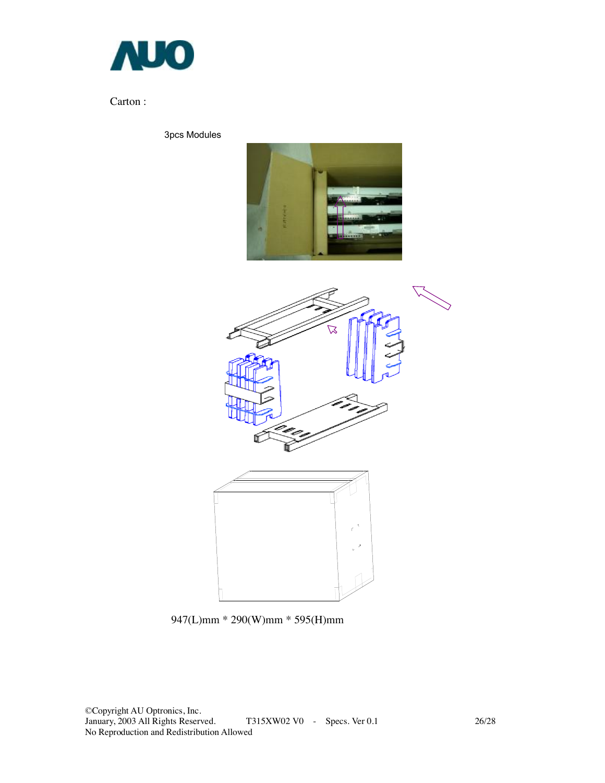

### Carton :

3pcs Modules





947(L)mm \* 290(W)mm \* 595(H)mm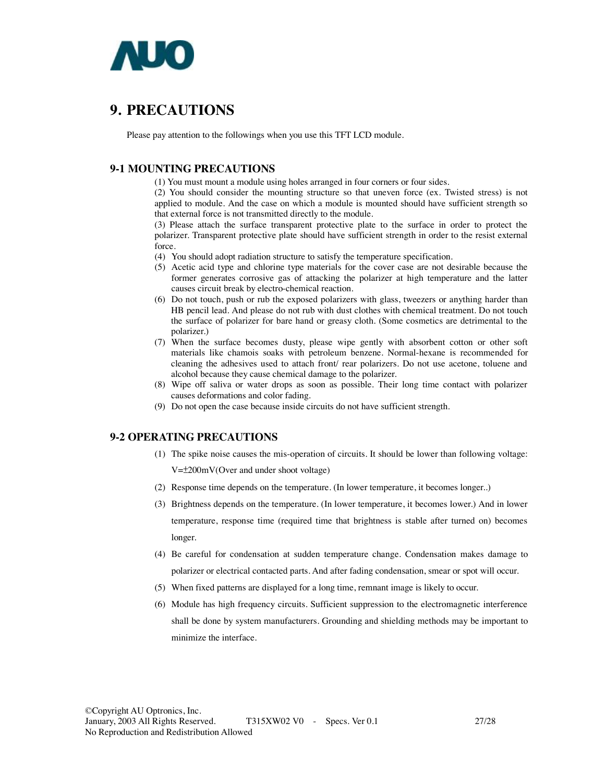

### **9. PRECAUTIONS**

Please pay attention to the followings when you use this TFT LCD module.

#### **9-1 MOUNTING PRECAUTIONS**

(1) You must mount a module using holes arranged in four corners or four sides.

(2) You should consider the mounting structure so that uneven force (ex. Twisted stress) is not applied to module. And the case on which a module is mounted should have sufficient strength so that external force is not transmitted directly to the module.

(3) Please attach the surface transparent protective plate to the surface in order to protect the polarizer. Transparent protective plate should have sufficient strength in order to the resist external force.

(4) You should adopt radiation structure to satisfy the temperature specification.

- (5) Acetic acid type and chlorine type materials for the cover case are not desirable because the former generates corrosive gas of attacking the polarizer at high temperature and the latter causes circuit break by electro-chemical reaction.
- (6) Do not touch, push or rub the exposed polarizers with glass, tweezers or anything harder than HB pencil lead. And please do not rub with dust clothes with chemical treatment. Do not touch the surface of polarizer for bare hand or greasy cloth. (Some cosmetics are detrimental to the polarizer.)
- (7) When the surface becomes dusty, please wipe gently with absorbent cotton or other soft materials like chamois soaks with petroleum benzene. Normal-hexane is recommended for cleaning the adhesives used to attach front/ rear polarizers. Do not use acetone, toluene and alcohol because they cause chemical damage to the polarizer.
- (8) Wipe off saliva or water drops as soon as possible. Their long time contact with polarizer causes deformations and color fading.
- (9) Do not open the case because inside circuits do not have sufficient strength.

#### **9-2 OPERATING PRECAUTIONS**

- (1) The spike noise causes the mis-operation of circuits. It should be lower than following voltage: V=±200mV(Over and under shoot voltage)
- (2) Response time depends on the temperature. (In lower temperature, it becomes longer..)
- (3) Brightness depends on the temperature. (In lower temperature, it becomes lower.) And in lower temperature, response time (required time that brightness is stable after turned on) becomes longer.
- (4) Be careful for condensation at sudden temperature change. Condensation makes damage to polarizer or electrical contacted parts. And after fading condensation, smear or spot will occur.
- (5) When fixed patterns are displayed for a long time, remnant image is likely to occur.
- (6) Module has high frequency circuits. Sufficient suppression to the electromagnetic interference shall be done by system manufacturers. Grounding and shielding methods may be important to minimize the interface.